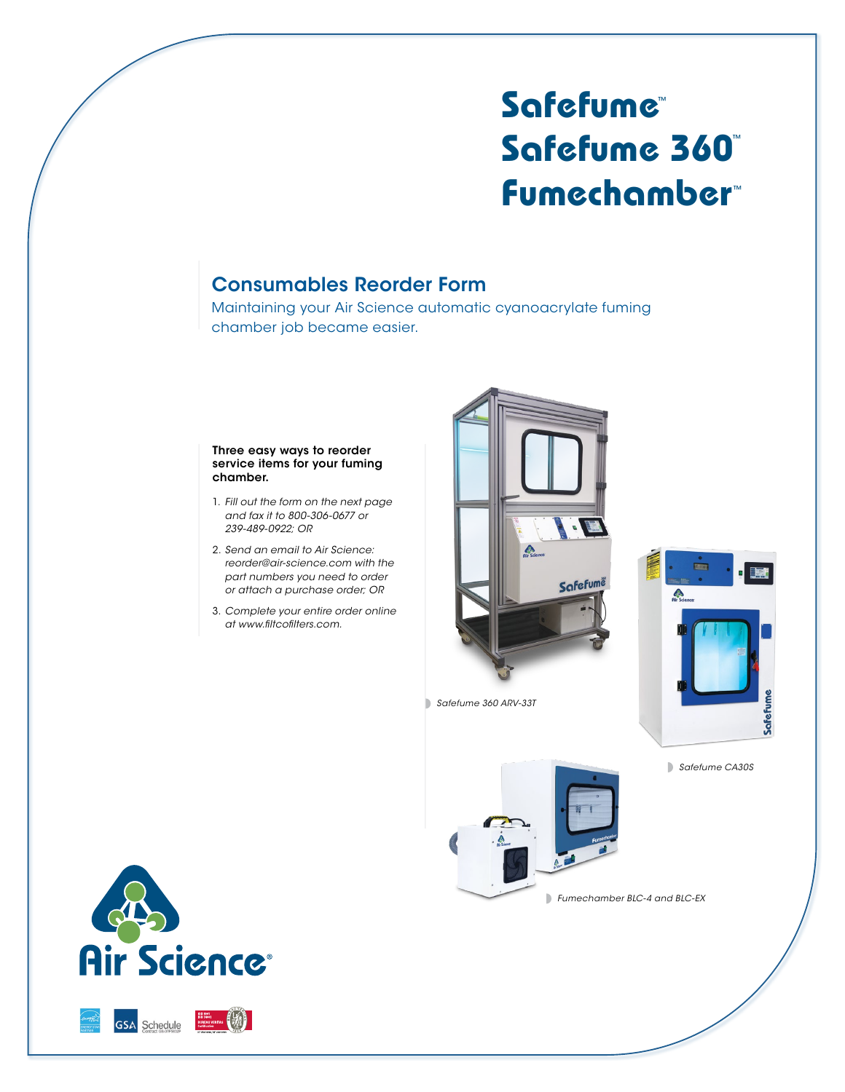## **Safefume**™ **Safefume 360**™ **Fumechamber**™

## Consumables Reorder Form

Maintaining your Air Science automatic cyanoacrylate fuming chamber job became easier.

## Three easy ways to reorder service items for your fuming chamber.

- 1. *Fill out the form on the next page and fax it to 800-306-0677 or 239-489-0922; OR*
- 2. *Send an email to Air Science: reorder@air-science.com with the part numbers you need to order or attach a purchase order; OR*
- 3. *Complete your entire order online at www.filtcofilters.com.*



*Safefume 360 ARV-33T*



*Safefume CA30S*





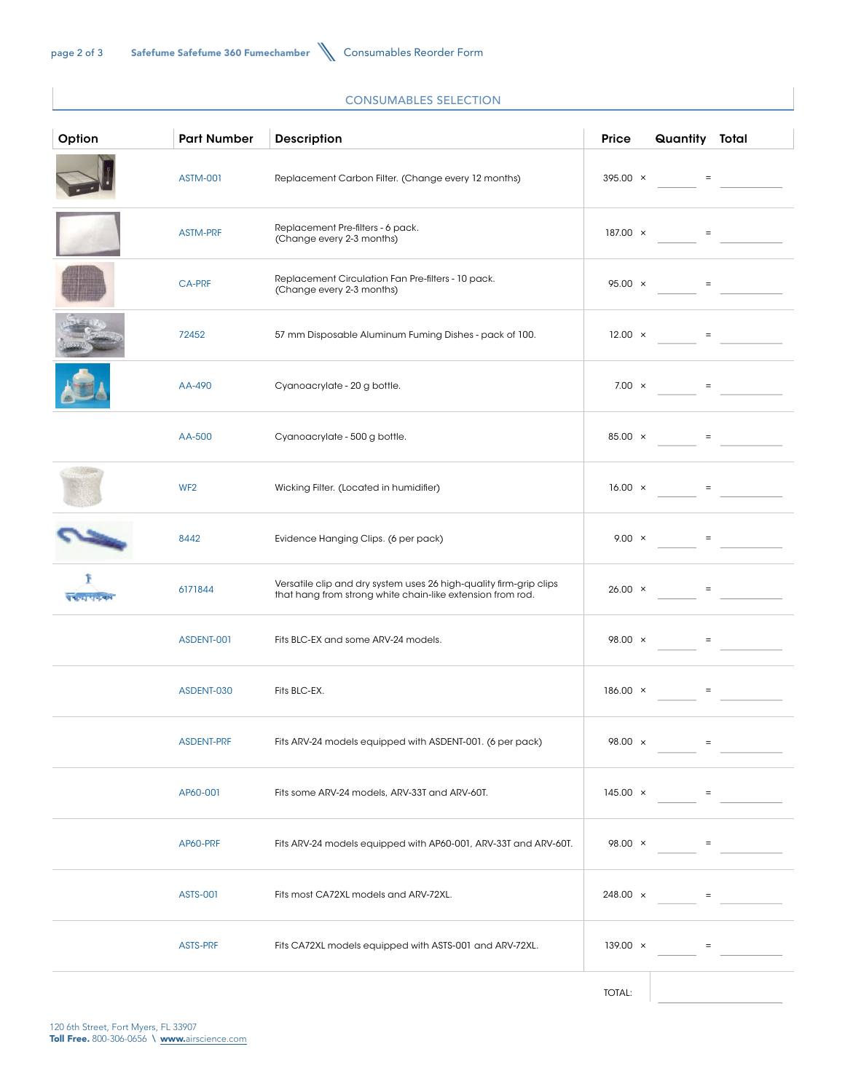## CONSUMABLES SELECTION

| Option            | <b>Part Number</b> | <b>Description</b>                                                                                                               | Price           | Quantity Total                                              |                   |
|-------------------|--------------------|----------------------------------------------------------------------------------------------------------------------------------|-----------------|-------------------------------------------------------------|-------------------|
|                   | <b>ASTM-001</b>    | Replacement Carbon Filter. (Change every 12 months)                                                                              | $395.00 \times$ | $\alpha_{\rm{max}}=1$                                       |                   |
|                   | <b>ASTM-PRF</b>    | Replacement Pre-filters - 6 pack.<br>(Change every 2-3 months)                                                                   | $187.00 \times$ |                                                             | $\equiv$          |
|                   | <b>CA-PRF</b>      | Replacement Circulation Fan Pre-filters - 10 pack.<br>(Change every 2-3 months)                                                  | $95.00 \times$  | $\alpha_{\rm{max}}=0.0000$                                  |                   |
|                   | 72452              | 57 mm Disposable Aluminum Fuming Dishes - pack of 100.                                                                           | $12.00 \times$  | $\alpha_{\rm{max}}=0$                                       |                   |
|                   | AA-490             | Cyanoacrylate - 20 g bottle.                                                                                                     | $7.00 \times$   |                                                             | $\equiv$          |
|                   | AA-500             | Cyanoacrylate - 500 g bottle.                                                                                                    | $85.00 \times$  |                                                             | $=$               |
|                   | WF <sub>2</sub>    | Wicking Filter. (Located in humidifier)                                                                                          | $16.00 \times$  | $\alpha_{\rm{max}}=1$                                       |                   |
|                   | 8442               | Evidence Hanging Clips. (6 per pack)                                                                                             | $9.00 \times$   |                                                             | $\, =$            |
| <b>CONTRACTOR</b> | 6171844            | Versatile clip and dry system uses 26 high-quality firm-grip clips<br>that hang from strong white chain-like extension from rod. | $26.00 \times$  | $\mathcal{L}_{\mathcal{A}}$ and $\mathcal{L}_{\mathcal{A}}$ |                   |
|                   | ASDENT-001         | Fits BLC-EX and some ARV-24 models.                                                                                              | $98.00 \times$  | $\alpha_{\rm{max}}=1$                                       |                   |
|                   | ASDENT-030         | Fits BLC-EX.                                                                                                                     | $186.00 \times$ |                                                             | $\equiv$          |
|                   | ASDENT-PRF         | Fits ARV-24 models equipped with ASDENT-001. (6 per pack)                                                                        | 98.00 ×         |                                                             |                   |
|                   | AP60-001           | Fits some ARV-24 models, ARV-33T and ARV-60T.                                                                                    | $145.00 \times$ |                                                             | $\quad =$         |
|                   | AP60-PRF           | Fits ARV-24 models equipped with AP60-001, ARV-33T and ARV-60T.                                                                  | $98.00 \times$  |                                                             | $\equiv$          |
|                   | <b>ASTS-001</b>    | Fits most CA72XL models and ARV-72XL.                                                                                            | 248.00 ×        |                                                             | $\equiv$          |
|                   | ASTS-PRF           | Fits CA72XL models equipped with ASTS-001 and ARV-72XL.                                                                          | $139.00 \times$ |                                                             | $\qquad \qquad =$ |
|                   |                    |                                                                                                                                  | TOTAL:          |                                                             |                   |